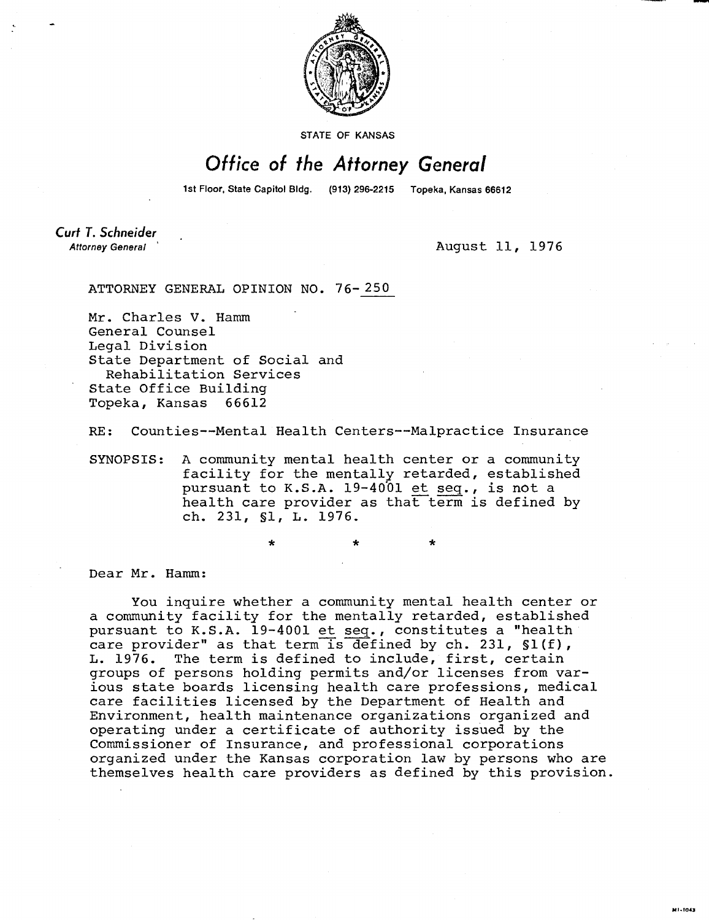

STATE OF KANSAS

## Office of the Attorney General

1st Floor, State Capitol Bldg. (913) 296-2215 Topeka, Kansas 66612

Curt T. Schneider **Attorney General** 

August 11, 1976

MI-1043

ATTORNEY GENERAL OPINION NO. 76-250

Mr. Charles V. Hamm General Counsel Legal Division State Department of Social and Rehabilitation Services State Office Building Topeka, Kansas 66612

RE: Counties--Mental Health Centers--Malpractice Insurance

SYNOPSIS: A community mental health center or a community facility for the mentally retarded, established pursuant to K.S.A. 19-4001 et seq., is not a health care provider as that term is defined by ch. 231, §1, L. 1976.

\*

Dear Mr. Hamm:

You inquire whether a community mental health center or a community facility for the mentally retarded, established pursuant to K.S.A. 19-4001 et seq., constitutes a "health care provider" as that term is defined by ch. 231, §1(f), L. 1976. The term is defined to include, first, certain groups of persons holding permits and/or licenses from various state boards licensing health care professions, medical care facilities licensed by the Department of Health and Environment, health maintenance organizations organized and operating under a certificate of authority issued by the Commissioner of Insurance, and professional corporations organized under the Kansas corporation law by persons who are themselves health care providers as defined by this provision.